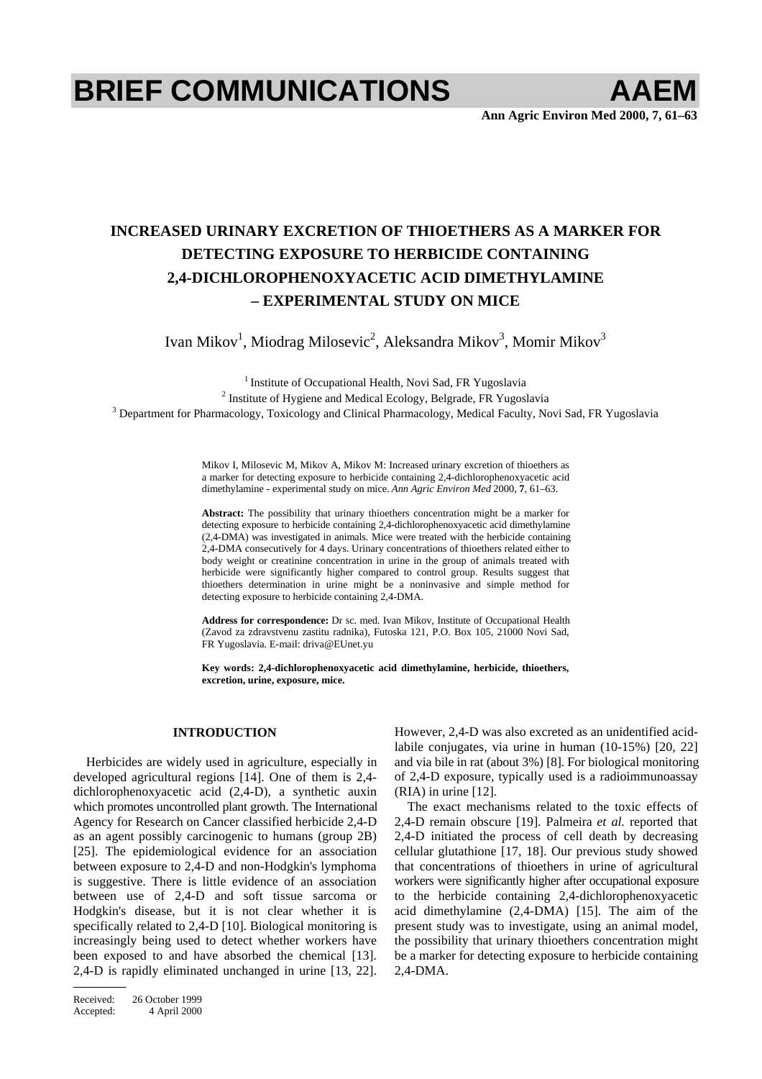# **BRIEF COMMUNICATIONS AAEM**

## **INCREASED URINARY EXCRETION OF THIOETHERS AS A MARKER FOR DETECTING EXPOSURE TO HERBICIDE CONTAINING 2,4-DICHLOROPHENOXYACETIC ACID DIMETHYLAMINE – EXPERIMENTAL STUDY ON MICE**

Ivan Mikov<sup>1</sup>, Miodrag Milosevic<sup>2</sup>, Aleksandra Mikov<sup>3</sup>, Momir Mikov<sup>3</sup>

<sup>1</sup> Institute of Occupational Health, Novi Sad, FR Yugoslavia

 $2$  Institute of Hygiene and Medical Ecology, Belgrade, FR Yugoslavia

<sup>3</sup> Department for Pharmacology, Toxicology and Clinical Pharmacology, Medical Faculty, Novi Sad, FR Yugoslavia

Mikov I, Milosevic M, Mikov A, Mikov M: Increased urinary excretion of thioethers as a marker for detecting exposure to herbicide containing 2,4-dichlorophenoxyacetic acid dimethylamine - experimental study on mice. *Ann Agric Environ Med* 2000, **7**, 61–63.

**Abstract:** The possibility that urinary thioethers concentration might be a marker for detecting exposure to herbicide containing 2,4-dichlorophenoxyacetic acid dimethylamine (2,4-DMA) was investigated in animals. Mice were treated with the herbicide containing 2,4-DMA consecutively for 4 days. Urinary concentrations of thioethers related either to body weight or creatinine concentration in urine in the group of animals treated with herbicide were significantly higher compared to control group. Results suggest that thioethers determination in urine might be a noninvasive and simple method for detecting exposure to herbicide containing 2,4-DMA.

**Address for correspondence:** Dr sc. med. Ivan Mikov, Institute of Occupational Health (Zavod za zdravstvenu zastitu radnika), Futoska 121, P.O. Box 105, 21000 Novi Sad, FR Yugoslavia. E-mail: driva@EUnet.yu

**Key words: 2,4-dichlorophenoxyacetic acid dimethylamine, herbicide, thioethers, excretion, urine, exposure, mice.** 

### **INTRODUCTION**

Herbicides are widely used in agriculture, especially in developed agricultural regions [14]. One of them is 2,4 dichlorophenoxyacetic acid (2,4-D), a synthetic auxin which promotes uncontrolled plant growth. The International Agency for Research on Cancer classified herbicide 2,4-D as an agent possibly carcinogenic to humans (group 2B) [25]. The epidemiological evidence for an association between exposure to 2,4-D and non-Hodgkin's lymphoma is suggestive. There is little evidence of an association between use of 2,4-D and soft tissue sarcoma or Hodgkin's disease, but it is not clear whether it is specifically related to 2,4-D [10]. Biological monitoring is increasingly being used to detect whether workers have been exposed to and have absorbed the chemical [13]. 2,4-D is rapidly eliminated unchanged in urine [13, 22].

However, 2,4-D was also excreted as an unidentified acidlabile conjugates, via urine in human (10-15%) [20, 22] and via bile in rat (about 3%) [8]. For biological monitoring of 2,4-D exposure, typically used is a radioimmunoassay (RIA) in urine [12].

The exact mechanisms related to the toxic effects of 2,4-D remain obscure [19]. Palmeira *et al.* reported that 2,4-D initiated the process of cell death by decreasing cellular glutathione [17, 18]. Our previous study showed that concentrations of thioethers in urine of agricultural workers were significantly higher after occupational exposure to the herbicide containing 2,4-dichlorophenoxyacetic acid dimethylamine (2,4-DMA) [15]. The aim of the present study was to investigate, using an animal model, the possibility that urinary thioethers concentration might be a marker for detecting exposure to herbicide containing 2,4-DMA.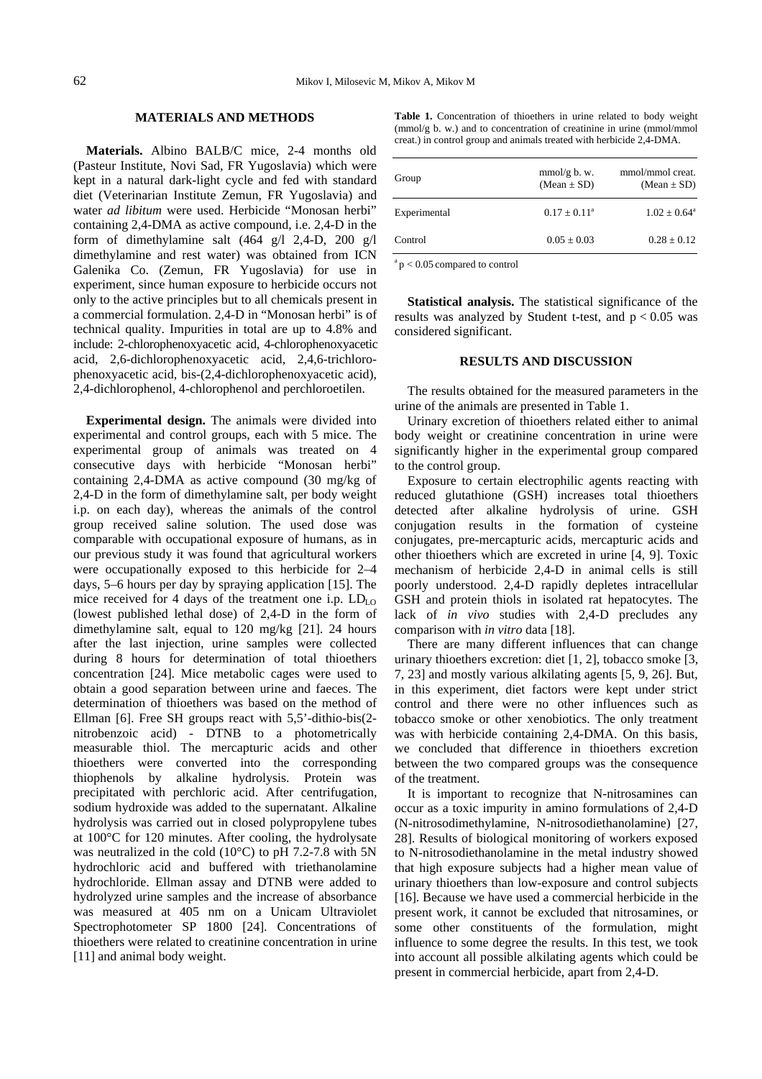### **MATERIALS AND METHODS**

**Materials.** Albino BALB/C mice, 2-4 months old (Pasteur Institute, Novi Sad, FR Yugoslavia) which were kept in a natural dark-light cycle and fed with standard diet (Veterinarian Institute Zemun, FR Yugoslavia) and water *ad libitum* were used. Herbicide "Monosan herbi" containing 2,4-DMA as active compound, i.e. 2,4-D in the form of dimethylamine salt  $(464 \text{ g}/1 \text{ 2,4-D}, 200 \text{ g}/1 \text{ }$ dimethylamine and rest water) was obtained from ICN Galenika Co. (Zemun, FR Yugoslavia) for use in experiment, since human exposure to herbicide occurs not only to the active principles but to all chemicals present in a commercial formulation. 2,4-D in "Monosan herbi" is of technical quality. Impurities in total are up to 4.8% and include: 2-chlorophenoxyacetic acid, 4-chlorophenoxyacetic acid, 2,6-dichlorophenoxyacetic acid, 2,4,6-trichlorophenoxyacetic acid, bis-(2,4-dichlorophenoxyacetic acid), 2,4-dichlorophenol, 4-chlorophenol and perchloroetilen.

**Experimental design.** The animals were divided into experimental and control groups, each with 5 mice. The experimental group of animals was treated on 4 consecutive days with herbicide "Monosan herbi" containing 2,4-DMA as active compound (30 mg/kg of 2,4-D in the form of dimethylamine salt, per body weight i.p. on each day), whereas the animals of the control group received saline solution. The used dose was comparable with occupational exposure of humans, as in our previous study it was found that agricultural workers were occupationally exposed to this herbicide for 2–4 days, 5–6 hours per day by spraying application [15]. The mice received for 4 days of the treatment one i.p.  $LD_{LO}$ (lowest published lethal dose) of 2,4-D in the form of dimethylamine salt, equal to 120 mg/kg [21]. 24 hours after the last injection, urine samples were collected during 8 hours for determination of total thioethers concentration [24]. Mice metabolic cages were used to obtain a good separation between urine and faeces. The determination of thioethers was based on the method of Ellman [6]. Free SH groups react with 5,5'-dithio-bis(2 nitrobenzoic acid) - DTNB to a photometrically measurable thiol. The mercapturic acids and other thioethers were converted into the corresponding thiophenols by alkaline hydrolysis. Protein was precipitated with perchloric acid. After centrifugation, sodium hydroxide was added to the supernatant. Alkaline hydrolysis was carried out in closed polypropylene tubes at 100°C for 120 minutes. After cooling, the hydrolysate was neutralized in the cold  $(10^{\circ}$ C) to pH 7.2-7.8 with 5N hydrochloric acid and buffered with triethanolamine hydrochloride. Ellman assay and DTNB were added to hydrolyzed urine samples and the increase of absorbance was measured at 405 nm on a Unicam Ultraviolet Spectrophotometer SP 1800 [24]. Concentrations of thioethers were related to creatinine concentration in urine [11] and animal body weight.

**Table 1.** Concentration of thioethers in urine related to body weight (mmol/g b. w.) and to concentration of creatinine in urine (mmol/mmol creat.) in control group and animals treated with herbicide 2,4-DMA.

| mmol/g b. w.<br>$(Mean \pm SD)$ | mmol/mmol creat.<br>$(Mean \pm SD)$ |
|---------------------------------|-------------------------------------|
| $0.17 \pm 0.11^{\circ}$         | $1.02 \pm 0.64^{\circ}$             |
| $0.05 + 0.03$                   | $0.28 + 0.12$                       |
|                                 |                                     |

 $a<sub>p</sub> < 0.05$  compared to control

**Statistical analysis.** The statistical significance of the results was analyzed by Student t-test, and  $p < 0.05$  was considered significant.

#### **RESULTS AND DISCUSSION**

The results obtained for the measured parameters in the urine of the animals are presented in Table 1.

Urinary excretion of thioethers related either to animal body weight or creatinine concentration in urine were significantly higher in the experimental group compared to the control group.

Exposure to certain electrophilic agents reacting with reduced glutathione (GSH) increases total thioethers detected after alkaline hydrolysis of urine. GSH conjugation results in the formation of cysteine conjugates, pre-mercapturic acids, mercapturic acids and other thioethers which are excreted in urine [4, 9]. Toxic mechanism of herbicide 2,4-D in animal cells is still poorly understood. 2,4-D rapidly depletes intracellular GSH and protein thiols in isolated rat hepatocytes. The lack of *in vivo* studies with 2,4-D precludes any comparison with *in vitro* data [18].

There are many different influences that can change urinary thioethers excretion: diet [1, 2], tobacco smoke [3, 7, 23] and mostly various alkilating agents [5, 9, 26]. But, in this experiment, diet factors were kept under strict control and there were no other influences such as tobacco smoke or other xenobiotics. The only treatment was with herbicide containing 2,4-DMA. On this basis, we concluded that difference in thioethers excretion between the two compared groups was the consequence of the treatment.

It is important to recognize that N-nitrosamines can occur as a toxic impurity in amino formulations of 2,4-D (N-nitrosodimethylamine, N-nitrosodiethanolamine) [27, 28]. Results of biological monitoring of workers exposed to N-nitrosodiethanolamine in the metal industry showed that high exposure subjects had a higher mean value of urinary thioethers than low-exposure and control subjects [16]. Because we have used a commercial herbicide in the present work, it cannot be excluded that nitrosamines, or some other constituents of the formulation, might influence to some degree the results. In this test, we took into account all possible alkilating agents which could be present in commercial herbicide, apart from 2,4-D.